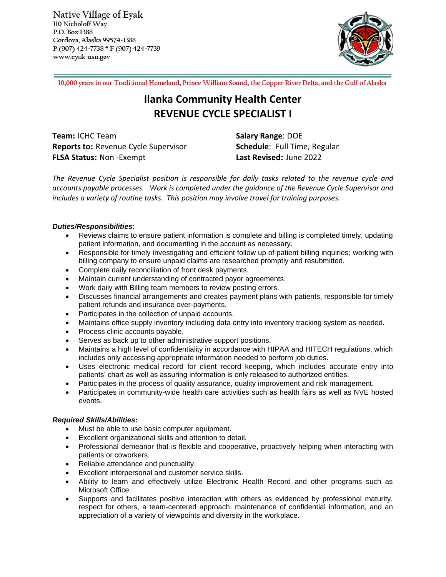Native Village of Eyak 110 Nicholoff Way P.O. Box 1388 Cordova, Alaska 99574-1388 P (907) 424-7738 \* F (907) 424-7739 www.eyak-nsn.gov



10,000 years in our Traditional Homeland, Prince William Sound, the Copper River Delta, and the Gulf of Alaska

# **Ilanka Community Health Center REVENUE CYCLE SPECIALIST I**

**Team:** ICHC Team **Salary Range: DOE Reports to: Revenue Cycle Supervisor <b>Schedule**: Full Time, Regular **FLSA Status:** Non -Exempt **Last Revised:** June 2022

*The Revenue Cycle Specialist position is responsible for daily tasks related to the revenue cycle and accounts payable processes. Work is completed under the guidance of the Revenue Cycle Supervisor and includes a variety of routine tasks. This position may involve travel for training purposes.*

# *Duties/Responsibilities***:**

- Reviews claims to ensure patient information is complete and billing is completed timely, updating patient information, and documenting in the account as necessary.
- Responsible for timely investigating and efficient follow up of patient billing inquiries; working with billing company to ensure unpaid claims are researched promptly and resubmitted.
- Complete daily reconciliation of front desk payments.
- Maintain current understanding of contracted payor agreements.
- Work daily with Billing team members to review posting errors.
- Discusses financial arrangements and creates payment plans with patients, responsible for timely patient refunds and insurance over-payments.
- Participates in the collection of unpaid accounts.
- Maintains office supply inventory including data entry into inventory tracking system as needed.
- Process clinic accounts payable.
- Serves as back up to other administrative support positions.
- Maintains a high level of confidentiality in accordance with HIPAA and HITECH regulations, which includes only accessing appropriate information needed to perform job duties.
- Uses electronic medical record for client record keeping, which includes accurate entry into patients' chart as well as assuring information is only released to authorized entities.
- Participates in the process of quality assurance, quality improvement and risk management.
- Participates in community-wide health care activities such as health fairs as well as NVE hosted events.

## *Required Skills/Abilities***:**

- Must be able to use basic computer equipment.
- Excellent organizational skills and attention to detail.
- Professional demeanor that is flexible and cooperative, proactively helping when interacting with patients or coworkers.
- Reliable attendance and punctuality.
- Excellent interpersonal and customer service skills.
- Ability to learn and effectively utilize Electronic Health Record and other programs such as Microsoft Office.
- Supports and facilitates positive interaction with others as evidenced by professional maturity, respect for others, a team-centered approach, maintenance of confidential information, and an appreciation of a variety of viewpoints and diversity in the workplace.